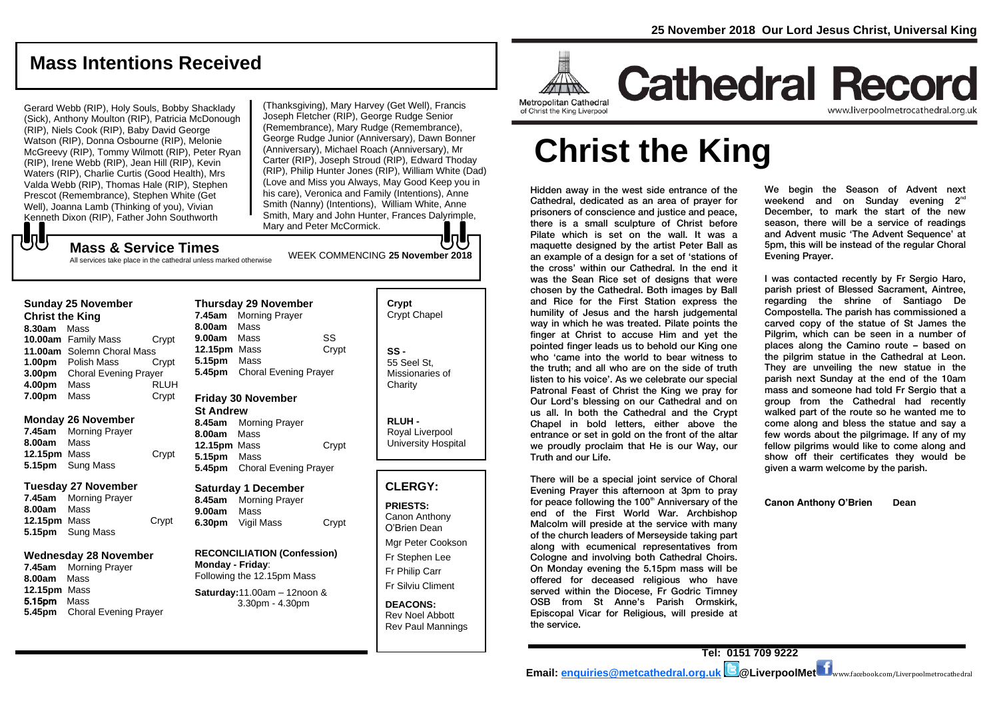## **Mass Intentions Received**

Gerard Webb (RIP), Holy Souls, Bobby Shacklady (Sick), Anthony Moulton (RIP), Patricia McDonough (RIP), Niels Cook (RIP), Baby David George Watson (RIP), Donna Osbourne (RIP), Melonie McGreevy (RIP), Tommy Wilmott (RIP), Peter Ryan (RIP), Irene Webb (RIP), Jean Hill (RIP), Kevin Waters (RIP), Charlie Curtis (Good Health), Mrs Valda Webb (RIP), Thomas Hale (RIP), Stephen Prescot (Remembrance), Stephen White (Get Well), Joanna Lamb (Thinking of you), Vivian Kenneth Dixon (RIP), Father John Southworth

WEEK COMMENCING **<sup>25</sup> November <sup>2018</sup> Mass & Service Times** (Thanksgiving), Mary Harvey (Get Well), Francis Joseph Fletcher (RIP), George Rudge Senior (Remembrance), Mary Rudge (Remembrance), George Rudge Junior (Anniversary), Dawn Bonner (Anniversary), Michael Roach (Anniversary), Mr Carter (RIP), Joseph Stroud (RIP), Edward Thoday (RIP), Philip Hunter Jones (RIP), William White (Dad) (Love and Miss you Always, May Good Keep you in his care), Veronica and Family (Intentions), Anne Smith (Nanny) (Intentions), William White, Anne Smith, Mary and John Hunter, Frances Dalyrimple, Mary and Peter McCormick.

## JU

**5.45pm** Choral Evening Prayer

All services take place in the cathedral unless marked otherwise

| <b>Christ the King</b><br>8.30am | <b>Sunday 25 November</b><br>Mass |             | 7.45am<br>8.00am                       | <b>Thursday 29 November</b><br><b>Morning Prayer</b><br>Mass |                 | Crypt<br>Crypt Chapel |
|----------------------------------|-----------------------------------|-------------|----------------------------------------|--------------------------------------------------------------|-----------------|-----------------------|
|                                  | <b>10.00am</b> Family Mass        | Crypt       | 9.00am                                 | Mass                                                         | SS              |                       |
|                                  | 11.00am Solemn Choral Mass        |             | 12.15pm Mass                           |                                                              | Crypt           | $SS -$                |
|                                  | <b>1.00pm</b> Polish Mass         | Crypt       | 5.15pm                                 | Mass                                                         |                 | 55 Seel St.           |
|                                  | 3.00pm Choral Evening Prayer      |             | <b>Choral Evening Prayer</b><br>5.45pm |                                                              | Missionaries of |                       |
| 4.00pm                           | Mass                              | <b>RLUH</b> |                                        |                                                              |                 | Charity               |
| 7.00pm                           | Mass                              | Crypt       |                                        | <b>Friday 30 November</b>                                    |                 |                       |
|                                  |                                   |             |                                        |                                                              |                 |                       |
|                                  | <b>Monday 26 November</b>         |             | <b>St Andrew</b>                       |                                                              |                 |                       |
| 7.45am                           | <b>Morning Prayer</b>             |             | 8.45am                                 | <b>Morning Prayer</b>                                        |                 | RLUH-                 |
| 8.00am                           | Mass                              |             | 8.00am                                 | Mass                                                         |                 | Royal Liverpool       |
|                                  |                                   |             | 12.15pm Mass                           |                                                              | Crypt           | University Hospital   |
| 12.15pm Mass                     |                                   | Crypt       | 5.15pm                                 | Mass                                                         |                 |                       |
| 5.15pm                           | Sung Mass                         |             | 5.45pm                                 | <b>Choral Evening Prayer</b>                                 |                 |                       |
|                                  | <b>Tuesday 27 November</b>        |             |                                        | <b>Saturday 1 December</b>                                   |                 | <b>CLERGY:</b>        |
| 7.45am                           | <b>Morning Prayer</b>             |             | 8.45am                                 | <b>Morning Prayer</b>                                        |                 | <b>PRIESTS:</b>       |
| 8.00am                           | Mass                              |             | 9.00am                                 | Mass                                                         |                 | Canon Anthony         |
| 12.15pm Mass                     |                                   | Crypt       | 6.30pm                                 | Vigil Mass                                                   | Crypt           | O'Brien Dean          |
| 5.15pm                           | Sung Mass                         |             |                                        |                                                              |                 |                       |
|                                  |                                   |             |                                        |                                                              |                 | Mgr Peter Cookson     |
| <b>Wednesday 28 November</b>     |                                   |             | <b>RECONCILIATION (Confession)</b>     |                                                              |                 | Fr Stephen Lee        |
| 7.45am                           | <b>Morning Prayer</b>             |             | Monday - Friday:                       |                                                              |                 | Fr Philip Carr        |
| 8.00am                           | Mass                              |             |                                        | Following the 12.15pm Mass                                   |                 |                       |
| 12.15pm Mass                     |                                   |             |                                        | Saturday: $11.00am - 12n$ oon &                              |                 | Fr Silviu Climent     |
| 5.15pm                           | Mass                              |             |                                        | $3.30nm - 4.30nm$                                            |                 | DEACONS.              |

**DEACONS:** Rev Noel Abbott Rev Paul Mannings



## **Cathedral Record** www.liverpoolmetrocathedral.org.ul

of Christ the King Liverpool

# **Christ the King**

Hidden away in the west side entrance of the Cathedral, dedicated as an area of prayer for prisoners of conscience and justice and peace, there is a small sculpture of Christ before Pilate which is set on the wall. It was a maquette designed by the artist Peter Ball as an example of a design for a set of 'stations of the cross' within our Cathedral. In the end it was the Sean Rice set of designs that were chosen by the Cathedral. Both images by Ball and Rice for the First Station express the humility of Jesus and the harsh judgemental way in which he was treated. Pilate points the finger at Christ to accuse Him and yet the pointed finger leads us to behold our King one who 'came into the world to bear witness to the truth; and all who are on the side of truth listen to his voice'. As we celebrate our special Patronal Feast of Christ the King we pray for Our Lord's blessing on our Cathedral and on us all. In both the Cathedral and the Crypt Chapel in bold letters, either above the entrance or set in gold on the front of the altar we proudly proclaim that He is our Way, our Truth and our Life.

There will be a special joint service of Choral Evening Prayer this afternoon at 3pm to pray for peace following the 100<sup>th</sup> Anniversary of the end of the First World War. Archbishop Malcolm will preside at the service with many of the church leaders of Merseyside taking part along with ecumenical representatives from Cologne and involving both Cathedral Choirs. On Monday evening the 5.15pm mass will be offered for deceased religious who have served within the Diocese, Fr Godric Timney OSB from St Anne's Parish Ormskirk, Episcopal Vicar for Religious, will preside at the service.

We begin the Season of Advent next weekend and on Sunday evening 2<sup>nd</sup> December, to mark the start of the new season, there will be a service of readings and Advent music 'The Advent Sequence' at 5pm, this will be instead of the regular Choral Evening Prayer.

I was contacted recently by Fr Sergio Haro, parish priest of Blessed Sacrament, Aintree, regarding the shrine of Santiago De Compostella. The parish has commissioned a carved copy of the statue of St James the Pilgrim, which can be seen in a number of places along the Camino route – based on the pilgrim statue in the Cathedral at Leon. They are unveiling the new statue in the parish next Sunday at the end of the 10am mass and someone had told Fr Sergio that a group from the Cathedral had recently walked part of the route so he wanted me to come along and bless the statue and say a few words about the pilgrimage. If any of my fellow pilgrims would like to come along and show off their certificates they would be given a warm welcome by the parish.

**Canon Anthony O'Brien Dean**

**Tel: 0151 709 9222 Email: [enquiries@metcathedral.org.uk](mailto:enquiries@metcathedral.org.uk) @LiverpoolMet** www.facebook.com/Liverpoolmetrocathedral